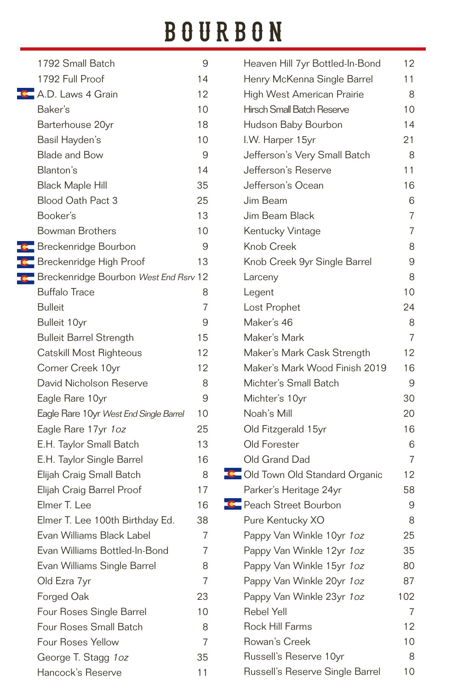# BOURBON

| 1792 Small Batch                               | 9              | Heaven Hill 7yr Bottled-In-Bond | 12             |
|------------------------------------------------|----------------|---------------------------------|----------------|
| 1792 Full Proof                                | 14             | Henry McKenna Single Barrel     | 11             |
| <b>C</b> A.D. Laws 4 Grain                     | 12             | High West American Prairie      | 8              |
| Baker's                                        | 10             | Hirsch Small Batch Reserve      | 10             |
| Barterhouse 20yr                               | 18             | Hudson Baby Bourbon             | 14             |
| Basil Hayden's                                 | 10             | I.W. Harper 15yr                | 21             |
| <b>Blade and Bow</b>                           | 9              | Jefferson's Very Small Batch    | 8              |
| Blanton's                                      | 14             | Jefferson's Reserve             | 11             |
| <b>Black Maple Hill</b>                        | 35             | Jefferson's Ocean               | 16             |
| Blood Oath Pact 3                              | 25             | Jim Beam                        | 6              |
| Booker's                                       | 13             | Jim Beam Black                  | 7              |
| Bowman Brothers                                | 10             | Kentucky Vintage                | $\overline{7}$ |
| Breckenridge Bourbon                           | 9              | Knob Creek                      | 8              |
| Breckenridge High Proof                        | 13             | Knob Creek 9yr Single Barrel    | 9              |
| <b>C</b> Breckenridge Bourbon West End Rsrv 12 |                | Larceny                         | 8              |
| <b>Buffalo Trace</b>                           | 8              | Legent                          | 10             |
| <b>Bulleit</b>                                 | 7              | Lost Prophet                    | 24             |
| Bulleit 10yr                                   | 9              | Maker's 46                      | 8              |
| <b>Bulleit Barrel Strength</b>                 | 15             | Maker's Mark                    | 7              |
| Catskill Most Righteous                        | 12             | Maker's Mark Cask Strength      | 12             |
| Corner Creek 10yr                              | 12             | Maker's Mark Wood Finish 2019   | 16             |
| David Nicholson Reserve                        | 8              | Michter's Small Batch           | 9              |
| Eagle Rare 10yr                                | 9              | Michter's 10yr                  | 30             |
| Eagle Rare 10yr West End Single Barrel         | 10             | Noah's Mill                     | 20             |
| Eagle Rare 17yr 1oz                            | 25             | Old Fitzgerald 15yr             | 16             |
| E.H. Taylor Small Batch                        | 13             | Old Forester                    | 6              |
| E.H. Taylor Single Barrel                      | 16             | Old Grand Dad                   | 7              |
| Elijah Craig Small Batch                       | 8              | C Old Town Old Standard Organic | 12             |
| Elijah Craig Barrel Proof                      | 17             | Parker's Heritage 24yr          | 58             |
| Elmer T. Lee                                   | 16             | <b>C</b> Peach Street Bourbon   | 9              |
| Elmer T. Lee 100th Birthday Ed.                | 38             | Pure Kentucky XO                | 8              |
| Evan Williams Black Label                      | $\overline{7}$ | Pappy Van Winkle 10yr 1oz       | 25             |
| Evan Williams Bottled-In-Bond                  | 7              | Pappy Van Winkle 12yr 1oz       | 35             |
| Evan Williams Single Barrel                    | 8              | Pappy Van Winkle 15yr 1oz       | 80             |
| Old Ezra 7yr                                   | 7              | Pappy Van Winkle 20yr 1oz       | 87             |
| Forged Oak                                     | 23             | Pappy Van Winkle 23yr 1oz       | 102            |
| Four Roses Single Barrel                       | 10             | Rebel Yell                      | $\overline{7}$ |
| Four Roses Small Batch                         | 8              | Rock Hill Farms                 | 12             |
| Four Roses Yellow                              | 7              | Rowan's Creek                   | 10             |
| George T. Stagg 1oz                            | 35             | Russell's Reserve 10yr          | 8              |
| Hancock's Reserve                              | 11             | Russell's Reserve Single Barrel | 10             |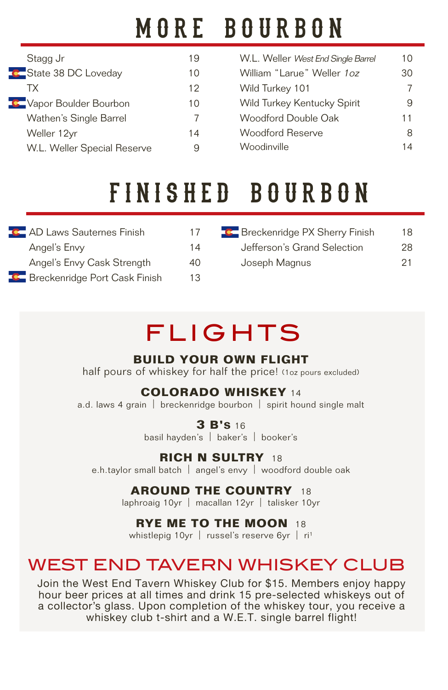# MORE BOURBON

| Stagg Jr                    | 19 |  |
|-----------------------------|----|--|
| C State 38 DC Loveday       | 10 |  |
| TX.                         | 12 |  |
| C Vapor Boulder Bourbon     | 10 |  |
| Wathen's Single Barrel      | 7  |  |
| Weller 12yr                 | 14 |  |
| W.L. Weller Special Reserve |    |  |

| W.L. Weller West End Single Barrel | 10       |
|------------------------------------|----------|
| William "I arue" Weller 10z        | 30       |
| Wild Turkey 101                    | $\prime$ |
| Wild Turkey Kentucky Spirit        | 9        |
| Woodford Double Oak                | 11       |
| <b>Woodford Reserve</b>            | 8        |
| Woodinville                        |          |

# f i n i s h e d b o u r b o n

| <b>C</b> AD Laws Sauternes Finish      | 17  |
|----------------------------------------|-----|
| Angel's Envy                           | 14  |
| Angel's Envy Cask Strength             | 40  |
| <b>C</b> Breckenridge Port Cask Finish | 1.3 |

| <b>C</b> Breckenridge PX Sherry Finish | 18  |
|----------------------------------------|-----|
| Jefferson's Grand Selection            | 28  |
| Joseph Magnus                          | -21 |

# FLIGHTS

### **BUILD YOUR OWN FLIGHT**

half pours of whiskey for half the price! (1oz pours excluded)

### **COLORADO WHISKEY** <sup>14</sup>

a.d. laws 4 grain | breckenridge bourbon | spirit hound single malt

**3 B'S** <sup>16</sup>

basil hayden's | baker's | booker's

**RICH N SULTRY** <sup>18</sup> e.h.taylor small batch | angel's envy | woodford double oak

### **AROUND THE COUNTRY** <sup>18</sup>

laphroaig 10yr | macallan 12yr | talisker 10yr

### **RYE ME TO THE MOON** <sup>18</sup>

whistlepig 10yr | russel's reserve  $6yr$  | ri<sup>1</sup>

# WEST END TAVERN WHISKEY CLUB

Join the West End Tavern Whiskey Club for \$15. Members enjoy happy hour beer prices at all times and drink 15 pre-selected whiskeys out of a collector's glass. Upon completion of the whiskey tour, you receive a whiskey club t-shirt and a W.E.T. single barrel flight!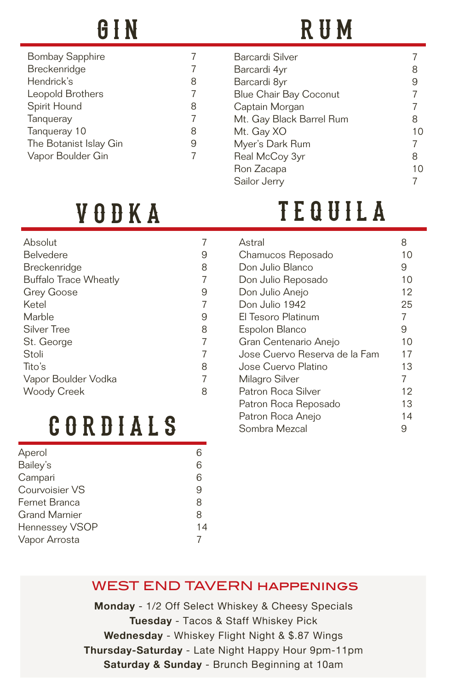| <b>Bombay Sapphire</b> |   |
|------------------------|---|
| Breckenridge           |   |
| Hendrick's             | 8 |
| Leopold Brothers       |   |
| Spirit Hound           | 8 |
| Tangueray              |   |
| Tangueray 10           | 8 |
| The Botanist Islay Gin | 9 |
| Vapor Boulder Gin      |   |
|                        |   |

# GIN RUM

|              | Barcardi Silver               |   |    |
|--------------|-------------------------------|---|----|
| Barcardi 4yr |                               | 8 |    |
|              | Barcardi 8yr                  | 9 |    |
|              | <b>Blue Chair Bay Coconut</b> |   |    |
|              | Captain Morgan                |   |    |
|              | Mt. Gay Black Barrel Rum      | 8 |    |
| Mt. Gay XO   |                               |   | 10 |
|              | Myer's Dark Rum               |   |    |
|              | Real McCoy 3yr                | 8 |    |
| Ron Zacapa   |                               |   | 10 |
| Sailor Jerry |                               |   |    |
|              |                               |   |    |

# VODKA TEQUILA

| Absolut                      |   |
|------------------------------|---|
| <b>Belvedere</b>             | 9 |
| <b>Breckenridge</b>          | 8 |
| <b>Buffalo Trace Wheatly</b> | 7 |
| Grey Goose                   | 9 |
| Ketel                        |   |
| Marble                       | 9 |
| Silver Tree                  | 8 |
| St. George                   | 7 |
| Stoli                        |   |
| Tito's                       | 8 |
| Vapor Boulder Vodka          |   |
| <b>Woody Creek</b>           | 8 |

# c o r d i a l s

| Aperol               | 6  |
|----------------------|----|
| Bailey's             | 6  |
| Campari              | 6  |
| Courvoisier VS       | 9  |
| Fernet Branca        | 8  |
| <b>Grand Marnier</b> | 8  |
| Hennessey VSOP       | 14 |
| Vapor Arrosta        |    |

| Astral                        | 8  |
|-------------------------------|----|
| Chamucos Reposado             | 10 |
| Don Julio Blanco              | 9  |
| Don Julio Reposado            | 10 |
| Don Julio Anejo               | 12 |
| Don Julio 1942                | 25 |
| El Tesoro Platinum            | 7  |
| Espolon Blanco                | 9  |
| Gran Centenario Anejo         | 10 |
| Jose Cuervo Reserva de la Fam | 17 |
| Jose Cuervo Platino           | 13 |
| Milagro Silver                | 7  |
| Patron Roca Silver            | 12 |
| Patron Roca Reposado          | 13 |
| Patron Roca Anejo             | 14 |
| Sombra Mezcal                 | 9  |

### WEST END TAVERN happenings

**Monday** - 1/2 Off Select Whiskey & Cheesy Specials **Tuesday** - Tacos & Staff Whiskey Pick **Wednesday** - Whiskey Flight Night & \$.87 Wings **Thursday-Saturday** - Late Night Happy Hour 9pm-11pm **Saturday & Sunday** - Brunch Beginning at 10am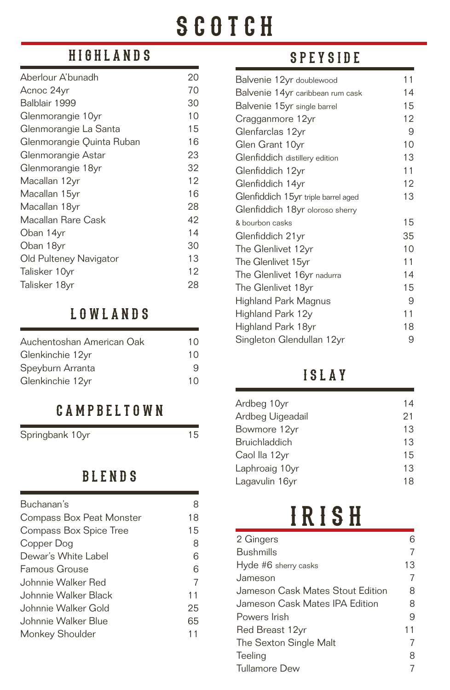# **SCOTCH**

## highlands

| Aberlour A'bunadh         | 20 |
|---------------------------|----|
| Acnoc 24yr                | 70 |
| Balblair 1999             | 30 |
| Glenmorangie 10yr         | 10 |
| Glenmorangie La Santa     | 15 |
| Glenmorangie Quinta Ruban | 16 |
| Glenmorangie Astar        | 23 |
| Glenmorangie 18yr         | 32 |
| Macallan 12yr             | 12 |
| Macallan 15yr             | 16 |
| Macallan 18yr             | 28 |
| Macallan Rare Cask        | 42 |
| Oban 14yr                 | 14 |
| Oban 18yr                 | 30 |
| Old Pulteney Navigator    | 13 |
| Talisker 10yr             | 12 |
| Talisker 18yr             | 28 |

### lowlands

| Auchentoshan American Oak | 10 |
|---------------------------|----|
| Glenkinchie 12yr          | 10 |
| Speyburn Arranta          | 9  |
| Glenkinchie 12yr          | 10 |

### campbeltown

Springbank 10yr 15

### blends

| 8  |
|----|
| 18 |
| 15 |
| 8  |
| 6  |
| 6  |
| 7  |
| 11 |
| 25 |
| 65 |
|    |
|    |

## speyside

| 11 |
|----|
| 14 |
| 15 |
| 12 |
| 9  |
| 10 |
| 13 |
| 11 |
| 12 |
| 13 |
|    |
| 15 |
| 35 |
| 10 |
| 11 |
| 14 |
| 15 |
| 9  |
| 11 |
| 18 |
| 9  |
|    |

### islay

| Ardbeg 10yr          | 14 |
|----------------------|----|
| Ardbeg Uigeadail     | 21 |
| Bowmore 12yr         | 13 |
| <b>Bruichladdich</b> | 13 |
| Caol lla 12yr        | 15 |
| Laphroaig 10yr       | 13 |
| Lagavulin 16yr       | 18 |

# I R I S H

| 2 Gingers                        |    |
|----------------------------------|----|
| Bushmills                        |    |
| Hyde #6 sherry casks             | 13 |
| Jameson                          |    |
| Jameson Cask Mates Stout Edition | 8  |
| Jameson Cask Mates IPA Edition   | 8  |
| Powers Irish                     | 9  |
| Red Breast 12yr                  | 11 |
| The Sexton Single Malt           |    |
| Teeling                          | 8  |
| Tullamore Dew                    |    |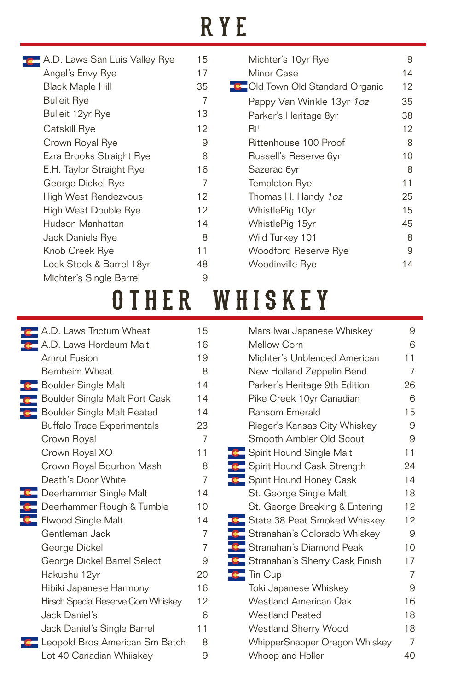# RYE

| A.D. Laws San Luis Valley Rye | 15 |
|-------------------------------|----|
| Angel's Envy Rye              | 17 |
| <b>Black Maple Hill</b>       | 35 |
| Bulleit Rye                   | 7  |
| Bulleit 12yr Rye              | 13 |
| Catskill Rye                  | 12 |
| Crown Royal Rye               | 9  |
| Ezra Brooks Straight Rye      | 8  |
| E.H. Taylor Straight Rye      | 16 |
| George Dickel Rye             | 7  |
| High West Rendezvous          | 12 |
| High West Double Rye          | 12 |
| Hudson Manhattan              | 14 |
| Jack Daniels Rye              | 8  |
| Knob Creek Rye                | 11 |
| Lock Stock & Barrel 18yr      | 48 |
| Michter's Single Barrel       | 9  |
|                               |    |

| Michter's 10yr Rye              |     |  |  |
|---------------------------------|-----|--|--|
| Minor Case                      | 14  |  |  |
| C Old Town Old Standard Organic | 12  |  |  |
| Pappy Van Winkle 13yr 1oz       | 35  |  |  |
| Parker's Heritage 8yr           | 38  |  |  |
| Ri <sup>1</sup>                 | 12  |  |  |
| Rittenhouse 100 Proof           | 8   |  |  |
| Russell's Reserve 6yr           | 10  |  |  |
| Sazerac 6yr                     | 8   |  |  |
| Templeton Rye                   | 11  |  |  |
| Thomas H. Handy 1oz             | 25  |  |  |
| WhistlePig 10yr                 | 1.5 |  |  |
| WhistlePig 15yr                 | 45  |  |  |
| Wild Turkey 101                 | 8   |  |  |
| Woodford Reserve Rye            | 9   |  |  |
| Woodinville Rye                 | 4   |  |  |
|                                 |     |  |  |

# OTHER WHISKEY

| A.D. Laws Trictum Wheat            | 15              | Mars Iwai Japanese Whiskey            | 9              |
|------------------------------------|-----------------|---------------------------------------|----------------|
| A.D. Laws Hordeum Malt             | 16              | Mellow Corn                           | 6              |
| <b>Amrut Fusion</b>                | 19              | Michter's Unblended American          | 11             |
| Bernheim Wheat                     | 8               | New Holland Zeppelin Bend             | $\overline{7}$ |
| <b>Boulder Single Malt</b>         | 14              | Parker's Heritage 9th Edition         | 26             |
| Boulder Single Malt Port Cask      | 14              | Pike Creek 10yr Canadian              | 6              |
| <b>Boulder Single Malt Peated</b>  | 14              | <b>Ransom Emerald</b>                 | 15             |
| <b>Buffalo Trace Experimentals</b> | 23              | Rieger's Kansas City Whiskey          | 9              |
| Crown Royal                        | $\overline{7}$  | Smooth Ambler Old Scout               | 9              |
| Crown Royal XO                     | 11              | Spirit Hound Single Malt              | 11             |
| Crown Royal Bourbon Mash           | 8               | <b>C</b> Spirit Hound Cask Strength   | 24             |
| Death's Door White                 | $\overline{7}$  | <b>C</b> Spirit Hound Honey Cask      | 14             |
| Deerhammer Single Malt             | 14              | St. George Single Malt                | 18             |
| Deerhammer Rough & Tumble          | 10              | St. George Breaking & Entering        | 12             |
| Elwood Single Malt                 | 14              | <b>C</b> State 38 Peat Smoked Whiskey | 12             |
| Gentleman Jack                     | $\overline{7}$  | <b>C</b> Stranahan's Colorado Whiskey | 9              |
| George Dickel                      | $\overline{7}$  | Stranahan's Diamond Peak              | 10             |
| George Dickel Barrel Select        | 9               | Stranahan's Sherry Cask Finish        | 17             |
| Hakushu 12yr                       | 20              | $\mathbf{C}$ Tin Cup                  | 7              |
| Hibiki Japanese Harmony            | 16              | Toki Japanese Whiskey                 | 9              |
| Hirsch Special Reserve Com Whiskey | 12 <sup>2</sup> | Westland American Oak                 | 16             |
| Jack Daniel's                      | 6               | <b>Westland Peated</b>                | 18             |
| Jack Daniel's Single Barrel        | 11              | Westland Sherry Wood                  | 18             |
| Leopold Bros American Sm Batch     | 8               | WhipperSnapper Oregon Whiskey         | $\overline{7}$ |
| Lot 40 Canadian Whiiskey           | 9               | Whoop and Holler                      | 40             |
|                                    |                 |                                       |                |